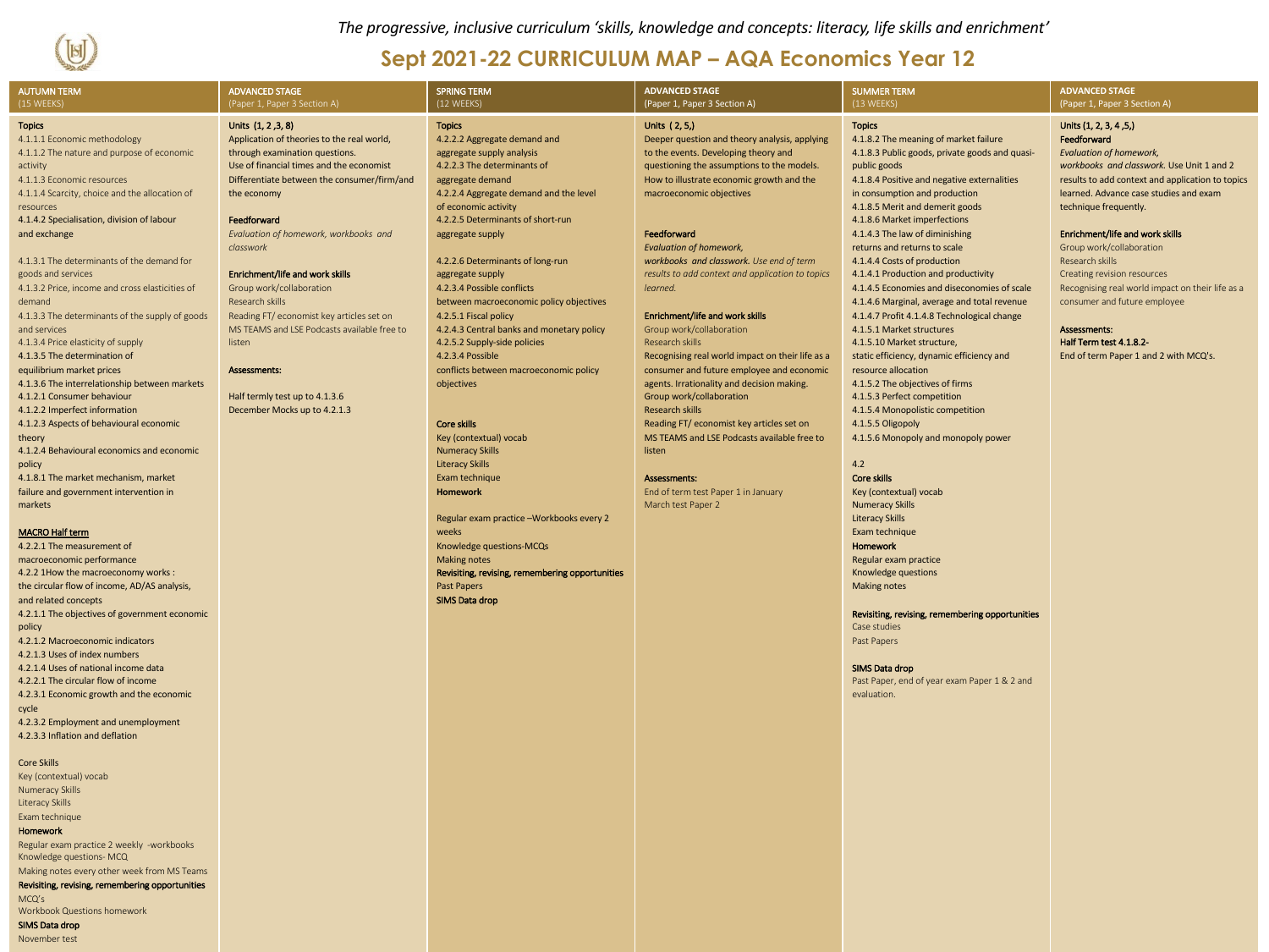

*The progressive, inclusive curriculum 'skills, knowledge and concepts: literacy, life skills and enrichment'*

## **Sept 2021-22 CURRICULUM MAP – AQA Economics Year 12**

| <b>AUTUMN TERM</b><br>(15 WEEKS)                                           | <b>ADVANCED STAGE</b><br>(Paper 1, Paper 3 Section A)                      | <b>SPRING TERM</b><br>(12 WEEKS)                                 | <b>ADVANCED STAGE</b><br>(Paper 1, Paper 3 Section A)                                   | <b>SUMMER TERM</b><br>(13 WEEKS)                                                           | <b>ADVANCED STAGE</b><br>(Paper 1, Paper 3 Section A)                       |
|----------------------------------------------------------------------------|----------------------------------------------------------------------------|------------------------------------------------------------------|-----------------------------------------------------------------------------------------|--------------------------------------------------------------------------------------------|-----------------------------------------------------------------------------|
| <b>Topics</b>                                                              | Units (1, 2, 3, 8)                                                         | <b>Topics</b>                                                    | Units (2, 5,)                                                                           | <b>Topics</b>                                                                              | Units (1, 2, 3, 4, 5,)                                                      |
| 4.1.1.1 Economic methodology                                               | Application of theories to the real world,                                 | 4.2.2.2 Aggregate demand and                                     | Deeper question and theory analysis, applying                                           | 4.1.8.2 The meaning of market failure                                                      | Feedforward                                                                 |
| 4.1.1.2 The nature and purpose of economic<br>activity                     | through examination questions.<br>Use of financial times and the economist | aggregate supply analysis<br>4.2.2.3 The determinants of         | to the events. Developing theory and<br>questioning the assumptions to the models.      | 4.1.8.3 Public goods, private goods and quasi-<br>public goods                             | <b>Evaluation of homework,</b><br>workbooks and classwork. Use Unit 1 and 2 |
| 4.1.1.3 Economic resources                                                 | Differentiate between the consumer/firm/and                                | aggregate demand                                                 | How to illustrate economic growth and the                                               | 4.1.8.4 Positive and negative externalities                                                | results to add context and application to topics                            |
| 4.1.1.4 Scarcity, choice and the allocation of                             | the economy                                                                | 4.2.2.4 Aggregate demand and the level                           | macroeconomic objectives                                                                | in consumption and production                                                              | learned. Advance case studies and exam                                      |
| resources                                                                  |                                                                            | of economic activity                                             |                                                                                         | 4.1.8.5 Merit and demerit goods                                                            | technique frequently.                                                       |
| 4.1.4.2 Specialisation, division of labour<br>and exchange                 | Feedforward<br>Evaluation of homework, workbooks and                       | 4.2.2.5 Determinants of short-run                                | Feedforward                                                                             | 4.1.8.6 Market imperfections<br>4.1.4.3 The law of diminishing                             | Enrichment/life and work skills                                             |
|                                                                            | classwork                                                                  | aggregate supply                                                 | <b>Evaluation of homework,</b>                                                          | returns and returns to scale                                                               | Group work/collaboration                                                    |
| 4.1.3.1 The determinants of the demand for                                 |                                                                            | 4.2.2.6 Determinants of long-run                                 | workbooks and classwork. Use end of term                                                | 4.1.4.4 Costs of production                                                                | Research skills                                                             |
| goods and services                                                         | Enrichment/life and work skills                                            | aggregate supply                                                 | results to add context and application to topics                                        | 4.1.4.1 Production and productivity                                                        | Creating revision resources                                                 |
| 4.1.3.2 Price, income and cross elasticities of                            | Group work/collaboration                                                   | 4.2.3.4 Possible conflicts                                       | learned.                                                                                | 4.1.4.5 Economies and diseconomies of scale                                                | Recognising real world impact on their life as a                            |
| demand<br>4.1.3.3 The determinants of the supply of goods                  | Research skills<br>Reading FT/ economist key articles set on               | between macroeconomic policy objectives<br>4.2.5.1 Fiscal policy | Enrichment/life and work skills                                                         | 4.1.4.6 Marginal, average and total revenue<br>4.1.4.7 Profit 4.1.4.8 Technological change | consumer and future employee                                                |
| and services                                                               | MS TEAMS and LSE Podcasts available free to                                | 4.2.4.3 Central banks and monetary policy                        | Group work/collaboration                                                                | 4.1.5.1 Market structures                                                                  | Assessments:                                                                |
| 4.1.3.4 Price elasticity of supply                                         | listen                                                                     | 4.2.5.2 Supply-side policies                                     | Research skills                                                                         | 4.1.5.10 Market structure,                                                                 | Half Term test 4.1.8.2-                                                     |
| 4.1.3.5 The determination of                                               |                                                                            | 4.2.3.4 Possible                                                 | Recognising real world impact on their life as a                                        | static efficiency, dynamic efficiency and                                                  | End of term Paper 1 and 2 with MCQ's.                                       |
| equilibrium market prices<br>4.1.3.6 The interrelationship between markets | Assessments:                                                               | conflicts between macroeconomic policy<br>objectives             | consumer and future employee and economic<br>agents. Irrationality and decision making. | resource allocation<br>4.1.5.2 The objectives of firms                                     |                                                                             |
| 4.1.2.1 Consumer behaviour                                                 | Half termly test up to 4.1.3.6                                             |                                                                  | Group work/collaboration                                                                | 4.1.5.3 Perfect competition                                                                |                                                                             |
| 4.1.2.2 Imperfect information                                              | December Mocks up to 4.2.1.3                                               |                                                                  | <b>Research skills</b>                                                                  | 4.1.5.4 Monopolistic competition                                                           |                                                                             |
| 4.1.2.3 Aspects of behavioural economic                                    |                                                                            | Core skills                                                      | Reading FT/ economist key articles set on                                               | 4.1.5.5 Oligopoly                                                                          |                                                                             |
| theory<br>4.1.2.4 Behavioural economics and economic                       |                                                                            | Key (contextual) vocab<br><b>Numeracy Skills</b>                 | MS TEAMS and LSE Podcasts available free to<br>listen                                   | 4.1.5.6 Monopoly and monopoly power                                                        |                                                                             |
| policy                                                                     |                                                                            | <b>Literacy Skills</b>                                           |                                                                                         | 4.2                                                                                        |                                                                             |
| 4.1.8.1 The market mechanism, market                                       |                                                                            | Exam technique                                                   | Assessments:                                                                            | Core skills                                                                                |                                                                             |
| failure and government intervention in                                     |                                                                            | <b>Homework</b>                                                  | End of term test Paper 1 in January                                                     | Key (contextual) vocab                                                                     |                                                                             |
| markets                                                                    |                                                                            | Regular exam practice -Workbooks every 2                         | March test Paper 2                                                                      | <b>Numeracy Skills</b><br><b>Literacy Skills</b>                                           |                                                                             |
| <b>MACRO Half term</b>                                                     |                                                                            | weeks                                                            |                                                                                         | Exam technique                                                                             |                                                                             |
| 4.2.2.1 The measurement of                                                 |                                                                            | Knowledge questions-MCQs                                         |                                                                                         | Homework                                                                                   |                                                                             |
| macroeconomic performance                                                  |                                                                            | <b>Making notes</b>                                              |                                                                                         | Regular exam practice                                                                      |                                                                             |
| 4.2.2 1How the macroeconomy works :                                        |                                                                            | Revisiting, revising, remembering opportunities                  |                                                                                         | Knowledge questions                                                                        |                                                                             |
| the circular flow of income, AD/AS analysis,<br>and related concepts       |                                                                            | <b>Past Papers</b><br><b>SIMS Data drop</b>                      |                                                                                         | <b>Making notes</b>                                                                        |                                                                             |
| 4.2.1.1 The objectives of government economic                              |                                                                            |                                                                  |                                                                                         | Revisiting, revising, remembering opportunities                                            |                                                                             |
| policy                                                                     |                                                                            |                                                                  |                                                                                         | Case studies                                                                               |                                                                             |
| 4.2.1.2 Macroeconomic indicators                                           |                                                                            |                                                                  |                                                                                         | Past Papers                                                                                |                                                                             |
| 4.2.1.3 Uses of index numbers<br>4.2.1.4 Uses of national income data      |                                                                            |                                                                  |                                                                                         | SIMS Data drop                                                                             |                                                                             |
| 4.2.2.1 The circular flow of income                                        |                                                                            |                                                                  |                                                                                         | Past Paper, end of year exam Paper 1 & 2 and                                               |                                                                             |
| 4.2.3.1 Economic growth and the economic                                   |                                                                            |                                                                  |                                                                                         | evaluation.                                                                                |                                                                             |
| cycle                                                                      |                                                                            |                                                                  |                                                                                         |                                                                                            |                                                                             |
| 4.2.3.2 Employment and unemployment<br>4.2.3.3 Inflation and deflation     |                                                                            |                                                                  |                                                                                         |                                                                                            |                                                                             |
| <b>Core Skills</b>                                                         |                                                                            |                                                                  |                                                                                         |                                                                                            |                                                                             |
| Key (contextual) vocab                                                     |                                                                            |                                                                  |                                                                                         |                                                                                            |                                                                             |
| Numeracy Skills                                                            |                                                                            |                                                                  |                                                                                         |                                                                                            |                                                                             |
| Literacy Skills                                                            |                                                                            |                                                                  |                                                                                         |                                                                                            |                                                                             |
| Exam technique                                                             |                                                                            |                                                                  |                                                                                         |                                                                                            |                                                                             |
| Homework<br>Regular exam practice 2 weekly -workbooks                      |                                                                            |                                                                  |                                                                                         |                                                                                            |                                                                             |
| Knowledge questions- MCQ                                                   |                                                                            |                                                                  |                                                                                         |                                                                                            |                                                                             |
| Making notes every other week from MS Teams                                |                                                                            |                                                                  |                                                                                         |                                                                                            |                                                                             |
| Revisiting, revising, remembering opportunities<br>MCQ's                   |                                                                            |                                                                  |                                                                                         |                                                                                            |                                                                             |
| Workbook Questions homework                                                |                                                                            |                                                                  |                                                                                         |                                                                                            |                                                                             |
| SIMS Data drop                                                             |                                                                            |                                                                  |                                                                                         |                                                                                            |                                                                             |
| November test                                                              |                                                                            |                                                                  |                                                                                         |                                                                                            |                                                                             |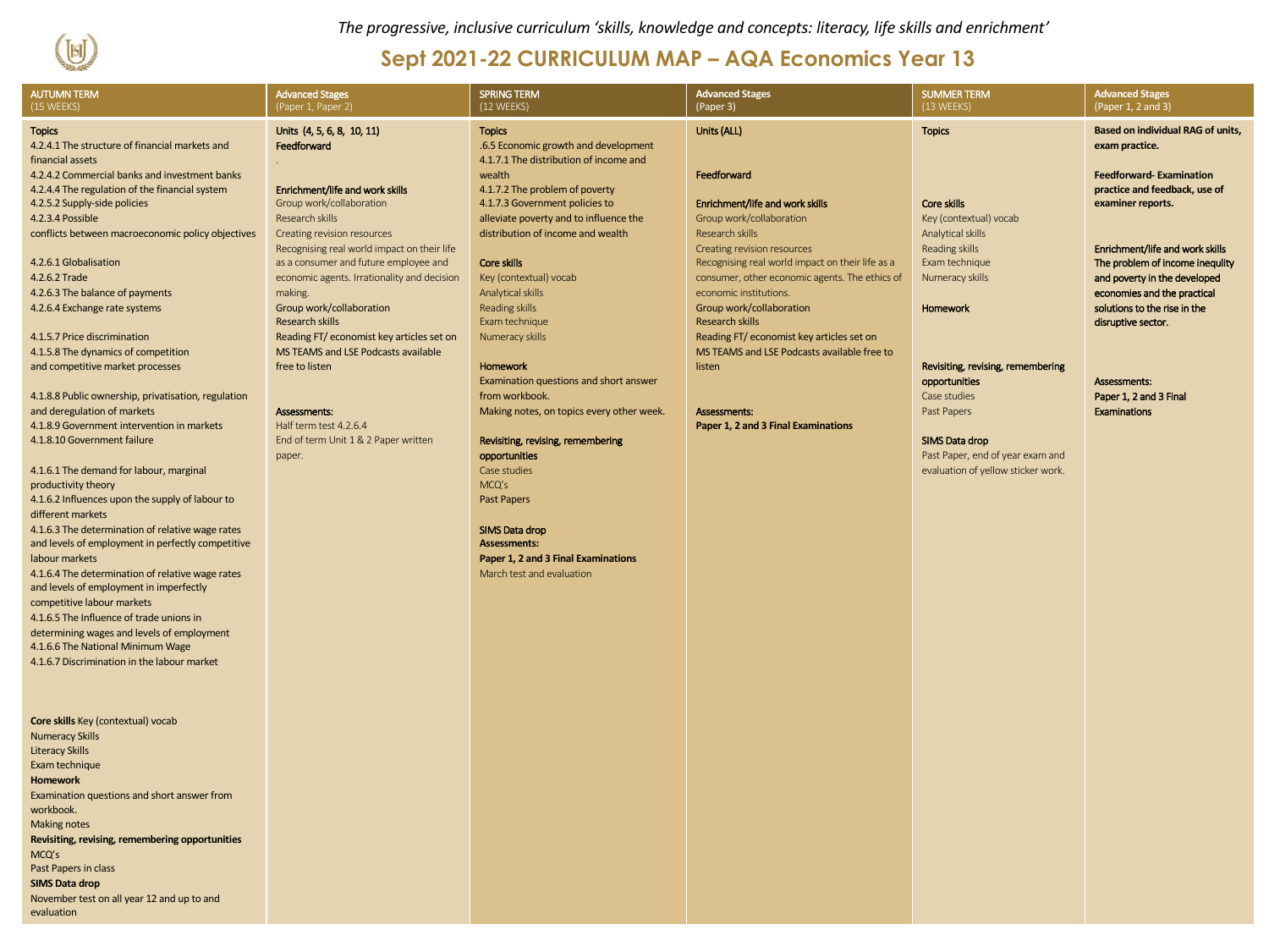

*The progressive, inclusive curriculum 'skills, knowledge and concepts: literacy, life skills and enrichment'*

## **Sept 2021-22 CURRICULUM MAP – AQA Economics Year 13**

| <b>AUTUMN TERM</b><br>(15 WEEKS)                                                                                                                                                                                                                                                                                                                                                                                                                                                                                                                                                                                                                          | <b>Advanced Stages</b><br>(Paper 1, Paper 2)                                                                                                                                                                                                                                                                                                                                                                                                                                             | <b>SPRING TERM</b><br>(12 WEEKS)                                                                                                                                                                                                                                                                                                                                                                                                                                                                       | <b>Advanced Stages</b><br>(Paper 3)                                                                                                                                                                                                                                                                                                                                                                                                                     | <b>SUMMER TERM</b><br>(13 WEEKS)                                                                                                                                                                                                    | <b>Advanced Stages</b><br>(Paper 1, 2 and 3)                                                                                                                                                                                                                                                                                                                                                                   |
|-----------------------------------------------------------------------------------------------------------------------------------------------------------------------------------------------------------------------------------------------------------------------------------------------------------------------------------------------------------------------------------------------------------------------------------------------------------------------------------------------------------------------------------------------------------------------------------------------------------------------------------------------------------|------------------------------------------------------------------------------------------------------------------------------------------------------------------------------------------------------------------------------------------------------------------------------------------------------------------------------------------------------------------------------------------------------------------------------------------------------------------------------------------|--------------------------------------------------------------------------------------------------------------------------------------------------------------------------------------------------------------------------------------------------------------------------------------------------------------------------------------------------------------------------------------------------------------------------------------------------------------------------------------------------------|---------------------------------------------------------------------------------------------------------------------------------------------------------------------------------------------------------------------------------------------------------------------------------------------------------------------------------------------------------------------------------------------------------------------------------------------------------|-------------------------------------------------------------------------------------------------------------------------------------------------------------------------------------------------------------------------------------|----------------------------------------------------------------------------------------------------------------------------------------------------------------------------------------------------------------------------------------------------------------------------------------------------------------------------------------------------------------------------------------------------------------|
| <b>Topics</b><br>4.2.4.1 The structure of financial markets and<br>financial assets<br>4.2.4.2 Commercial banks and investment banks<br>4.2.4.4 The regulation of the financial system<br>4.2.5.2 Supply-side policies<br>4.2.3.4 Possible<br>conflicts between macroeconomic policy objectives<br>4.2.6.1 Globalisation<br>4.2.6.2 Trade<br>4.2.6.3 The balance of payments<br>4.2.6.4 Exchange rate systems<br>4.1.5.7 Price discrimination<br>4.1.5.8 The dynamics of competition<br>and competitive market processes<br>4.1.8.8 Public ownership, privatisation, regulation<br>and deregulation of markets                                            | Units (4, 5, 6, 8, 10, 11)<br>Feedforward<br>Enrichment/life and work skills<br>Group work/collaboration<br>Research skills<br>Creating revision resources<br>Recognising real world impact on their life<br>as a consumer and future employee and<br>economic agents. Irrationality and decision<br>making.<br>Group work/collaboration<br><b>Research skills</b><br>Reading FT/ economist key articles set on<br>MS TEAMS and LSE Podcasts available<br>free to listen<br>Assessments: | <b>Topics</b><br>.6.5 Economic growth and development<br>4.1.7.1 The distribution of income and<br>wealth<br>4.1.7.2 The problem of poverty<br>4.1.7.3 Government policies to<br>alleviate poverty and to influence the<br>distribution of income and wealth<br>Core skills<br>Key (contextual) vocab<br>Analytical skills<br>Reading skills<br>Exam technique<br>Numeracy skills<br>Homework<br>Examination questions and short answer<br>from workbook.<br>Making notes, on topics every other week. | Units (ALL)<br>Feedforward<br>Enrichment/life and work skills<br>Group work/collaboration<br>Research skills<br>Creating revision resources<br>Recognising real world impact on their life as a<br>consumer, other economic agents. The ethics of<br>economic institutions.<br>Group work/collaboration<br><b>Research skills</b><br>Reading FT/ economist key articles set on<br>MS TEAMS and LSE Podcasts available free to<br>listen<br>Assessments: | <b>Topics</b><br>Core skills<br>Key (contextual) vocab<br>Analytical skills<br>Reading skills<br>Exam technique<br>Numeracy skills<br>Homework<br>Revisiting, revising, remembering<br>opportunities<br>Case studies<br>Past Papers | <b>Based on individual RAG of units,</b><br>exam practice.<br><b>Feedforward-Examination</b><br>practice and feedback, use of<br>examiner reports.<br>Enrichment/life and work skills<br>The problem of income inequlity<br>and poverty in the developed<br>economies and the practical<br>solutions to the rise in the<br>disruptive sector.<br>Assessments:<br>Paper 1, 2 and 3 Final<br><b>Examinations</b> |
| 4.1.8.9 Government intervention in markets<br>4.1.8.10 Government failure<br>4.1.6.1 The demand for labour, marginal<br>productivity theory<br>4.1.6.2 Influences upon the supply of labour to<br>different markets<br>4.1.6.3 The determination of relative wage rates<br>and levels of employment in perfectly competitive<br>labour markets<br>4.1.6.4 The determination of relative wage rates<br>and levels of employment in imperfectly<br>competitive labour markets<br>4.1.6.5 The Influence of trade unions in<br>determining wages and levels of employment<br>4.1.6.6 The National Minimum Wage<br>4.1.6.7 Discrimination in the labour market | Half term test 4.2.6.4<br>End of term Unit 1 & 2 Paper written<br>paper.                                                                                                                                                                                                                                                                                                                                                                                                                 | Revisiting, revising, remembering<br>opportunities<br>Case studies<br>MCQ's<br>Past Papers<br>SIMS Data drop<br><b>Assessments:</b><br>Paper 1, 2 and 3 Final Examinations<br>March test and evaluation                                                                                                                                                                                                                                                                                                | Paper 1, 2 and 3 Final Examinations                                                                                                                                                                                                                                                                                                                                                                                                                     | SIMS Data drop<br>Past Paper, end of year exam and<br>evaluation of yellow sticker work.                                                                                                                                            |                                                                                                                                                                                                                                                                                                                                                                                                                |
| Core skills Key (contextual) vocab<br><b>Numeracy Skills</b><br><b>Literacy Skills</b><br>Exam technique<br><b>Homework</b><br>Examination questions and short answer from<br>workbook.<br><b>Making notes</b><br>Revisiting, revising, remembering opportunities<br>MCQ's<br>Past Papers in class<br><b>SIMS Data drop</b><br>November test on all year 12 and up to and<br>evaluation                                                                                                                                                                                                                                                                   |                                                                                                                                                                                                                                                                                                                                                                                                                                                                                          |                                                                                                                                                                                                                                                                                                                                                                                                                                                                                                        |                                                                                                                                                                                                                                                                                                                                                                                                                                                         |                                                                                                                                                                                                                                     |                                                                                                                                                                                                                                                                                                                                                                                                                |